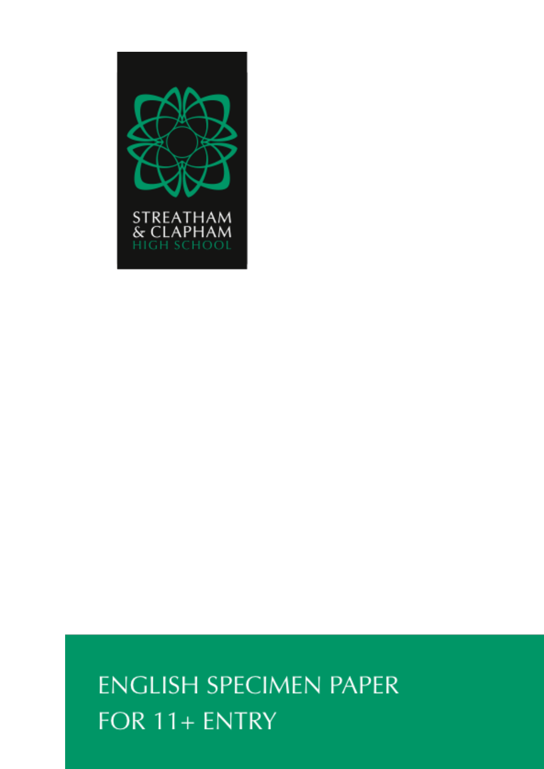

# **ENGLISH SPECIMEN PAPER** FOR 11+ ENTRY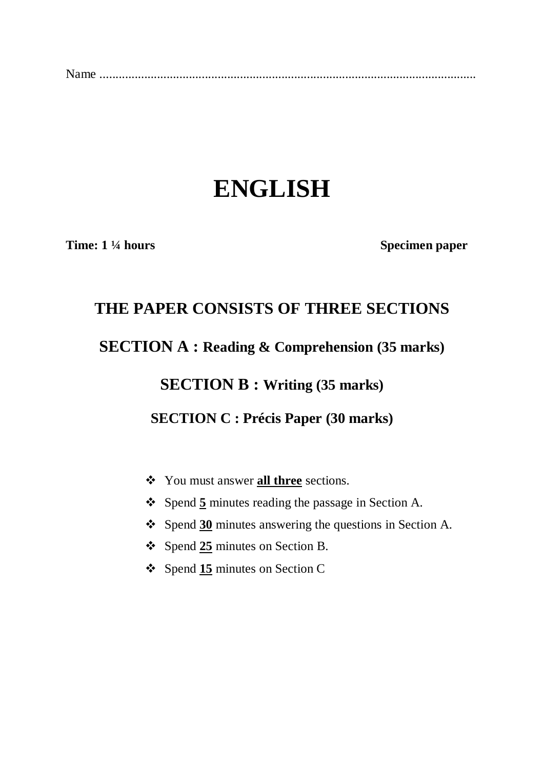|--|--|

## **ENGLISH**

**Time:** 1 <sup>1</sup>/4 **hours** Specimen paper

### **THE PAPER CONSISTS OF THREE SECTIONS**

**SECTION A : Reading & Comprehension (35 marks)**

**SECTION B : Writing (35 marks)**

**SECTION C : Précis Paper (30 marks)**

- You must answer **all three** sections.
- Spend **5** minutes reading the passage in Section A.
- Spend **30** minutes answering the questions in Section A.
- Spend **25** minutes on Section B.
- Spend **15** minutes on Section C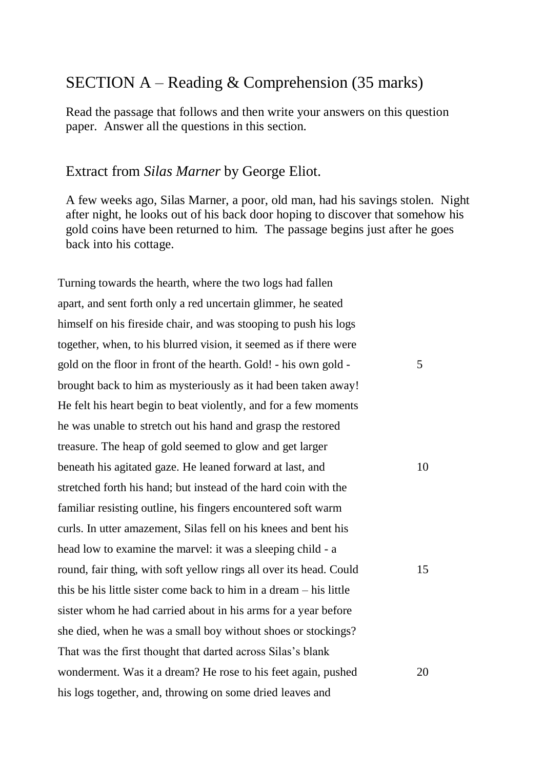#### SECTION A – Reading & Comprehension (35 marks)

Read the passage that follows and then write your answers on this question paper. Answer all the questions in this section.

#### Extract from *Silas Marner* by George Eliot.

A few weeks ago, Silas Marner, a poor, old man, had his savings stolen. Night after night, he looks out of his back door hoping to discover that somehow his gold coins have been returned to him. The passage begins just after he goes back into his cottage.

Turning towards the hearth, where the two logs had fallen apart, and sent forth only a red uncertain glimmer, he seated himself on his fireside chair, and was stooping to push his logs together, when, to his blurred vision, it seemed as if there were gold on the floor in front of the hearth. Gold! - his own gold brought back to him as mysteriously as it had been taken away! He felt his heart begin to beat violently, and for a few moments he was unable to stretch out his hand and grasp the restored treasure. The heap of gold seemed to glow and get larger beneath his agitated gaze. He leaned forward at last, and stretched forth his hand; but instead of the hard coin with the familiar resisting outline, his fingers encountered soft warm curls. In utter amazement, Silas fell on his knees and bent his head low to examine the marvel: it was a sleeping child - a round, fair thing, with soft yellow rings all over its head. Could this be his little sister come back to him in a dream – his little sister whom he had carried about in his arms for a year before she died, when he was a small boy without shoes or stockings? That was the first thought that darted across Silas's blank wonderment. Was it a dream? He rose to his feet again, pushed his logs together, and, throwing on some dried leaves and 5 10 15 20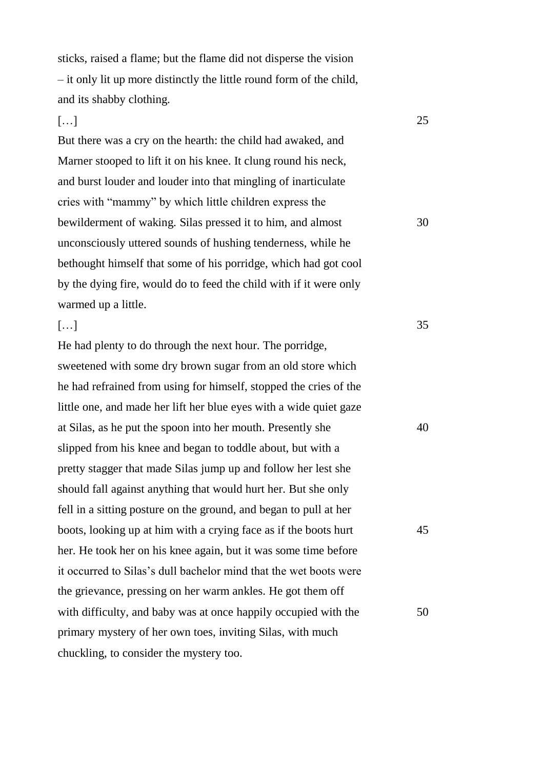sticks, raised a flame; but the flame did not disperse the vision – it only lit up more distinctly the little round form of the child, and its shabby clothing.

25

30

35

#### $[\ldots]$

 $[\ldots]$ 

But there was a cry on the hearth: the child had awaked, and Marner stooped to lift it on his knee. It clung round his neck, and burst louder and louder into that mingling of inarticulate cries with "mammy" by which little children express the bewilderment of waking. Silas pressed it to him, and almost unconsciously uttered sounds of hushing tenderness, while he bethought himself that some of his porridge, which had got cool by the dying fire, would do to feed the child with if it were only warmed up a little.

#### He had plenty to do through the next hour. The porridge, sweetened with some dry brown sugar from an old store which he had refrained from using for himself, stopped the cries of the little one, and made her lift her blue eyes with a wide quiet gaze at Silas, as he put the spoon into her mouth. Presently she slipped from his knee and began to toddle about, but with a pretty stagger that made Silas jump up and follow her lest she should fall against anything that would hurt her. But she only fell in a sitting posture on the ground, and began to pull at her boots, looking up at him with a crying face as if the boots hurt her. He took her on his knee again, but it was some time before it occurred to Silas's dull bachelor mind that the wet boots were the grievance, pressing on her warm ankles. He got them off with difficulty, and baby was at once happily occupied with the primary mystery of her own toes, inviting Silas, with much chuckling, to consider the mystery too. 40 45 50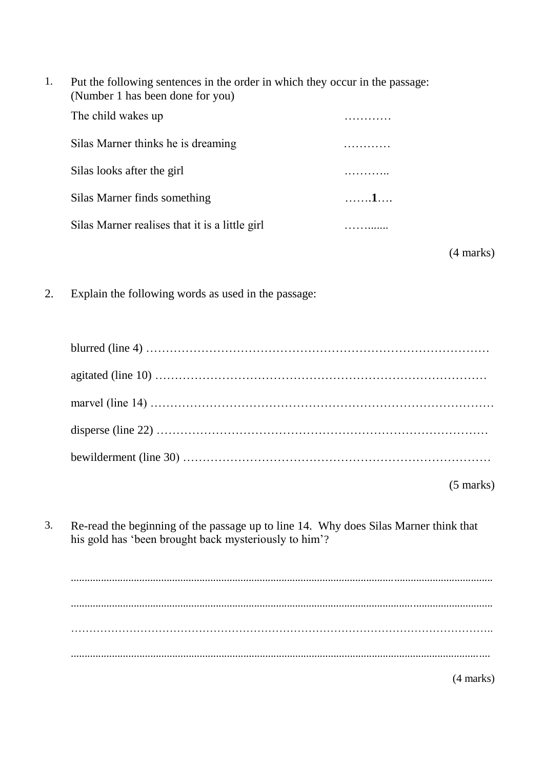| Put the following sentences in the order in which they occur in the passage: |  |
|------------------------------------------------------------------------------|--|
| (Number 1 has been done for you)                                             |  |
| The child wakes up                                                           |  |

| Silas Marner thinks he is dreaming             |   |
|------------------------------------------------|---|
| Silas looks after the girl                     |   |
| Silas Marner finds something                   | 1 |
| Silas Marner realises that it is a little girl |   |

(4 marks)

2. Explain the following words as used in the passage:

| blurred (line 4) $\ldots$ $\ldots$ $\ldots$ $\ldots$ $\ldots$ $\ldots$ $\ldots$ $\ldots$ $\ldots$ $\ldots$ $\ldots$ $\ldots$ $\ldots$ |  |
|---------------------------------------------------------------------------------------------------------------------------------------|--|
|                                                                                                                                       |  |
|                                                                                                                                       |  |
|                                                                                                                                       |  |
|                                                                                                                                       |  |
| $(5 \text{ marks})$                                                                                                                   |  |

3. Re-read the beginning of the passage up to line 14. Why does Silas Marner think that his gold has 'been brought back mysteriously to him'?

.......................................................................................................................................................... .......................................................................................................................................................... …………………………………………………………………………………………………….. .........................................................................................................................................................

(4 marks)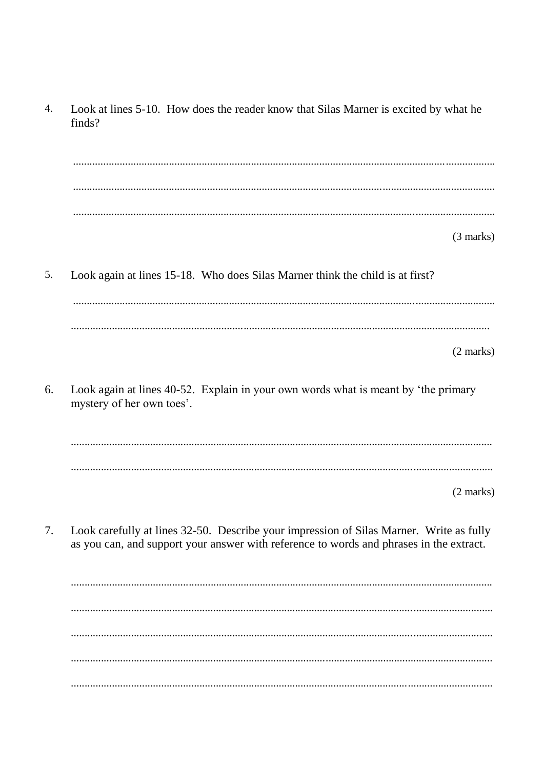$\overline{4}$ . Look at lines 5-10. How does the reader know that Silas Marner is excited by what he finds?  $(3 \text{ marks})$ 5. Look again at lines 15-18. Who does Silas Marner think the child is at first?  $(2 \text{ marks})$ Look again at lines 40-52. Explain in your own words what is meant by 'the primary 6. mystery of her own toes'.  $(2 \text{ marks})$ Look carefully at lines 32-50. Describe your impression of Silas Marner. Write as fully  $7.$ as you can, and support your answer with reference to words and phrases in the extract.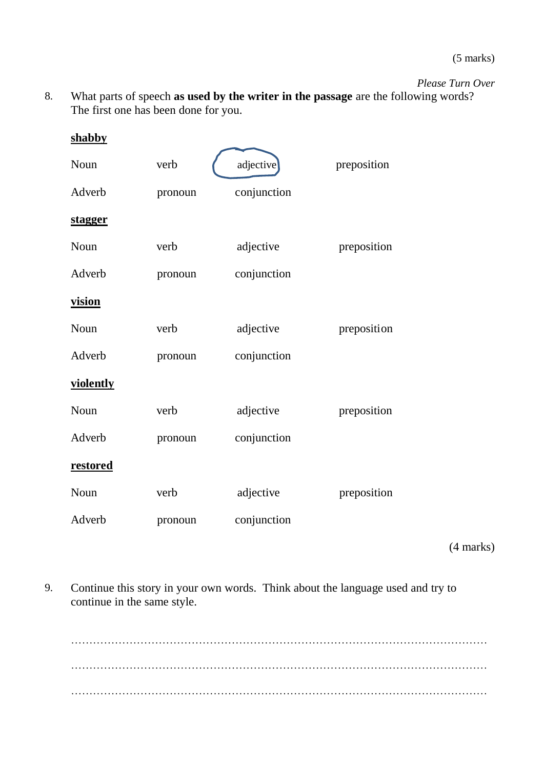(5 marks)

*Please Turn Over*

8. What parts of speech **as used by the writer in the passage** are the following words? The first one has been done for you.

| shabby         |         |             |             |
|----------------|---------|-------------|-------------|
| Noun           | verb    | adjective   | preposition |
| Adverb         | pronoun | conjunction |             |
| <u>stagger</u> |         |             |             |
| Noun           | verb    | adjective   | preposition |
| Adverb         | pronoun | conjunction |             |
| vision         |         |             |             |
| Noun           | verb    | adjective   | preposition |
| Adverb         | pronoun | conjunction |             |
| violently      |         |             |             |
| Noun           | verb    | adjective   | preposition |
| Adverb         | pronoun | conjunction |             |
| restored       |         |             |             |
| Noun           | verb    | adjective   | preposition |
| Adverb         | pronoun | conjunction |             |

(4 marks)

9. Continue this story in your own words. Think about the language used and try to continue in the same style.

…………………………………………………………………………………………………… …………………………………………………………………………………………………… ……………………………………………………………………………………………………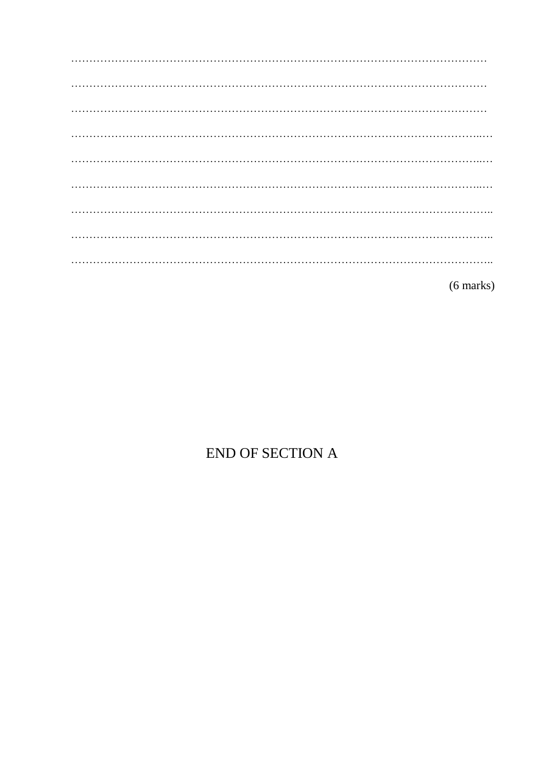$(6 \text{ marks})$ 

## END OF SECTION A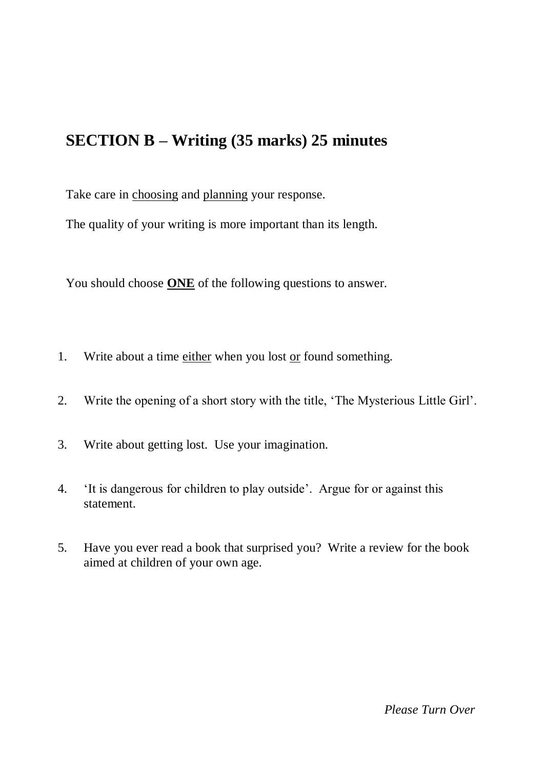## **SECTION B – Writing (35 marks) 25 minutes**

Take care in choosing and planning your response.

The quality of your writing is more important than its length.

You should choose **ONE** of the following questions to answer.

- 1. Write about a time either when you lost or found something.
- 2. Write the opening of a short story with the title, 'The Mysterious Little Girl'.
- 3. Write about getting lost. Use your imagination.
- 4. 'It is dangerous for children to play outside'. Argue for or against this statement.
- 5. Have you ever read a book that surprised you? Write a review for the book aimed at children of your own age.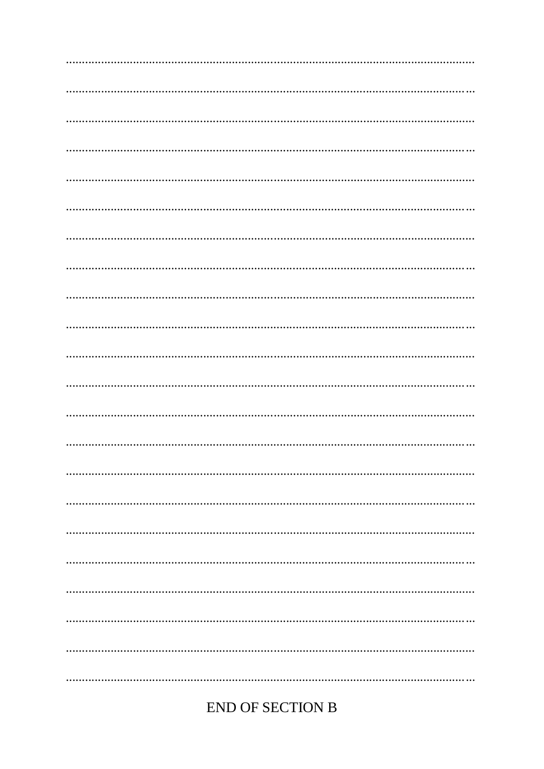#### **END OF SECTION B**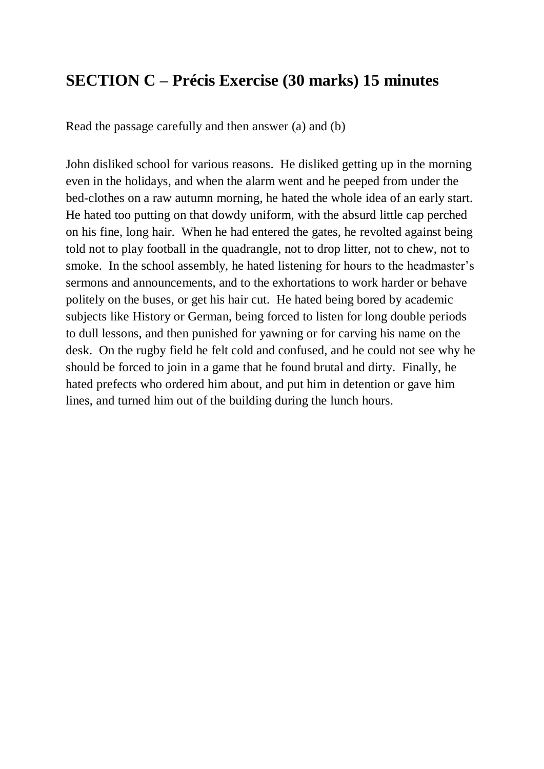### **SECTION C – Précis Exercise (30 marks) 15 minutes**

Read the passage carefully and then answer (a) and (b)

John disliked school for various reasons. He disliked getting up in the morning even in the holidays, and when the alarm went and he peeped from under the bed-clothes on a raw autumn morning, he hated the whole idea of an early start. He hated too putting on that dowdy uniform, with the absurd little cap perched on his fine, long hair. When he had entered the gates, he revolted against being told not to play football in the quadrangle, not to drop litter, not to chew, not to smoke. In the school assembly, he hated listening for hours to the headmaster's sermons and announcements, and to the exhortations to work harder or behave politely on the buses, or get his hair cut. He hated being bored by academic subjects like History or German, being forced to listen for long double periods to dull lessons, and then punished for yawning or for carving his name on the desk. On the rugby field he felt cold and confused, and he could not see why he should be forced to join in a game that he found brutal and dirty. Finally, he hated prefects who ordered him about, and put him in detention or gave him lines, and turned him out of the building during the lunch hours.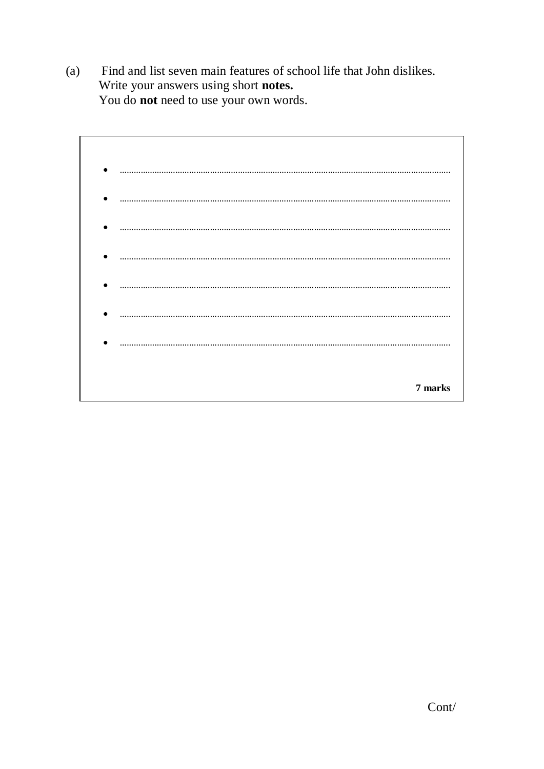Find and list seven main features of school life that John dislikes.  $(a)$ Write your answers using short notes. You do not need to use your own words.